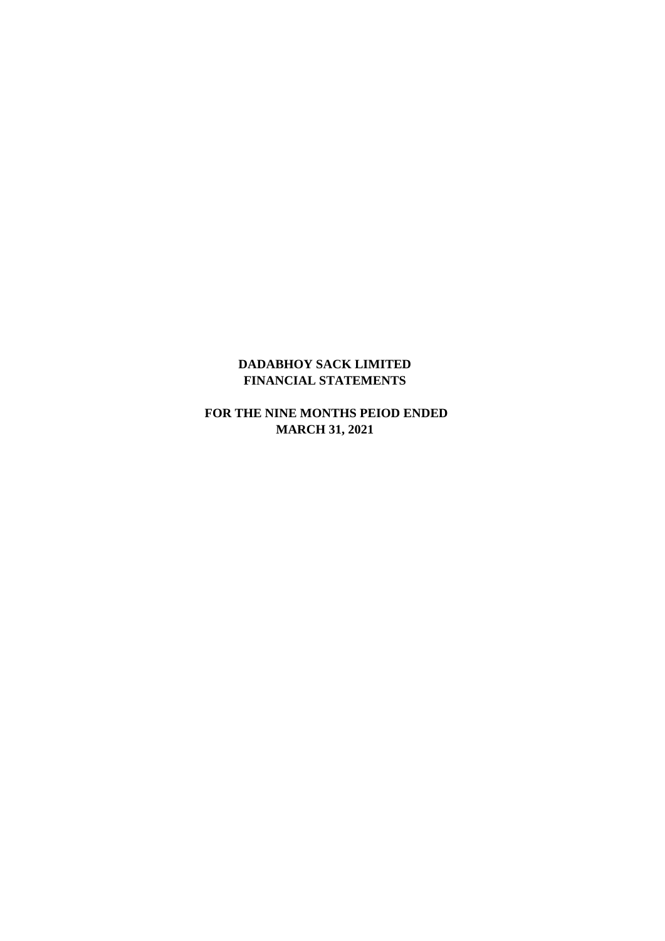## **DADABHOY SACK LIMITED FINANCIAL STATEMENTS**

 **FOR THE NINE MONTHS PEIOD ENDED MARCH 31, 2021**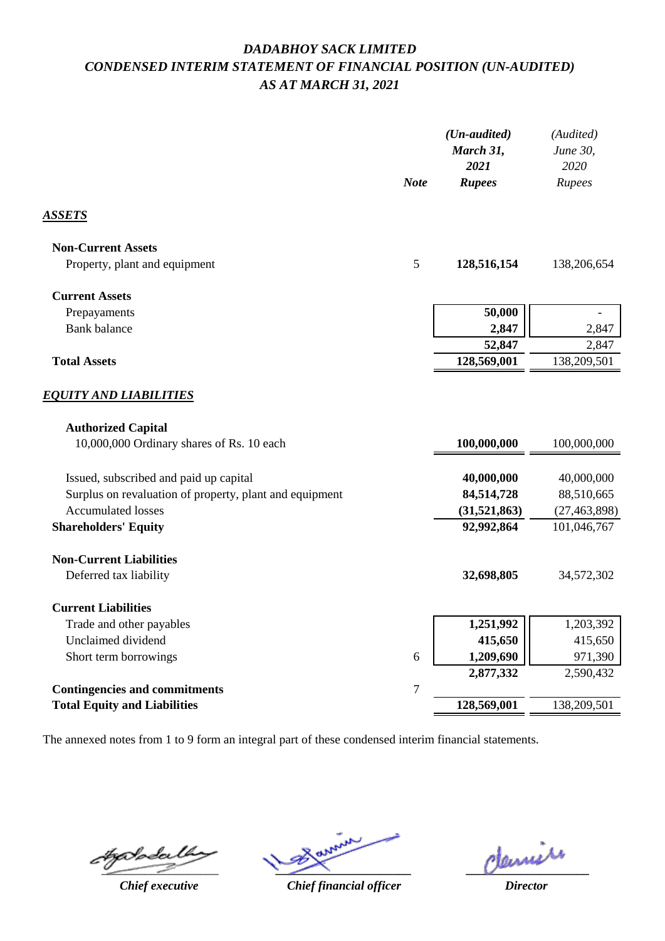## *DADABHOY SACK LIMITED CONDENSED INTERIM STATEMENT OF FINANCIAL POSITION (UN-AUDITED) AS AT MARCH 31, 2021*

|                                                                                                                | <b>Note</b>      | $(Un-audited)$<br>March 31,<br>2021<br><b>Rupees</b> | (Audited)<br>June 30,<br>2020<br>Rupees |
|----------------------------------------------------------------------------------------------------------------|------------------|------------------------------------------------------|-----------------------------------------|
| ASSETS                                                                                                         |                  |                                                      |                                         |
| <b>Non-Current Assets</b>                                                                                      |                  |                                                      |                                         |
| Property, plant and equipment                                                                                  | 5                | 128,516,154                                          | 138,206,654                             |
| <b>Current Assets</b>                                                                                          |                  |                                                      |                                         |
| Prepayaments                                                                                                   |                  | 50,000                                               |                                         |
| <b>Bank</b> balance                                                                                            |                  | 2,847                                                | 2,847                                   |
|                                                                                                                |                  | 52,847                                               | 2,847                                   |
| <b>Total Assets</b>                                                                                            |                  | 128,569,001                                          | 138,209,501                             |
| <i><b>EQUITY AND LIABILITIES</b></i><br><b>Authorized Capital</b><br>10,000,000 Ordinary shares of Rs. 10 each |                  | 100,000,000                                          | 100,000,000                             |
|                                                                                                                |                  |                                                      |                                         |
| Issued, subscribed and paid up capital                                                                         |                  | 40,000,000                                           | 40,000,000                              |
| Surplus on revaluation of property, plant and equipment                                                        |                  | 84,514,728                                           | 88,510,665                              |
| <b>Accumulated losses</b>                                                                                      |                  | (31,521,863)                                         | (27, 463, 898)                          |
| <b>Shareholders' Equity</b>                                                                                    |                  | 92,992,864                                           | 101,046,767                             |
| <b>Non-Current Liabilities</b>                                                                                 |                  |                                                      |                                         |
| Deferred tax liability                                                                                         |                  | 32,698,805                                           | 34,572,302                              |
| <b>Current Liabilities</b>                                                                                     |                  |                                                      |                                         |
| Trade and other payables                                                                                       |                  | 1,251,992                                            | 1,203,392                               |
| Unclaimed dividend                                                                                             |                  | 415,650                                              | 415,650                                 |
| Short term borrowings                                                                                          | 6                | 1,209,690                                            | 971,390                                 |
|                                                                                                                |                  | 2,877,332                                            | 2,590,432                               |
| <b>Contingencies and commitments</b>                                                                           | $\boldsymbol{7}$ |                                                      |                                         |
| <b>Total Equity and Liabilities</b>                                                                            |                  | 128,569,001                                          | 138,209,501                             |
|                                                                                                                |                  |                                                      |                                         |

The annexed notes from 1 to 9 form an integral part of these condensed interim financial statements.

 $4$ g $\delta$ *p*dal

*Chief executive*

*\_\_\_\_\_\_\_\_\_\_\_\_\_\_\_\_\_\_\_\_\_\_*

*Chief financial officer*

**\_\_\_\_\_\_\_\_\_\_\_\_\_\_\_\_\_\_\_\_**

*Director*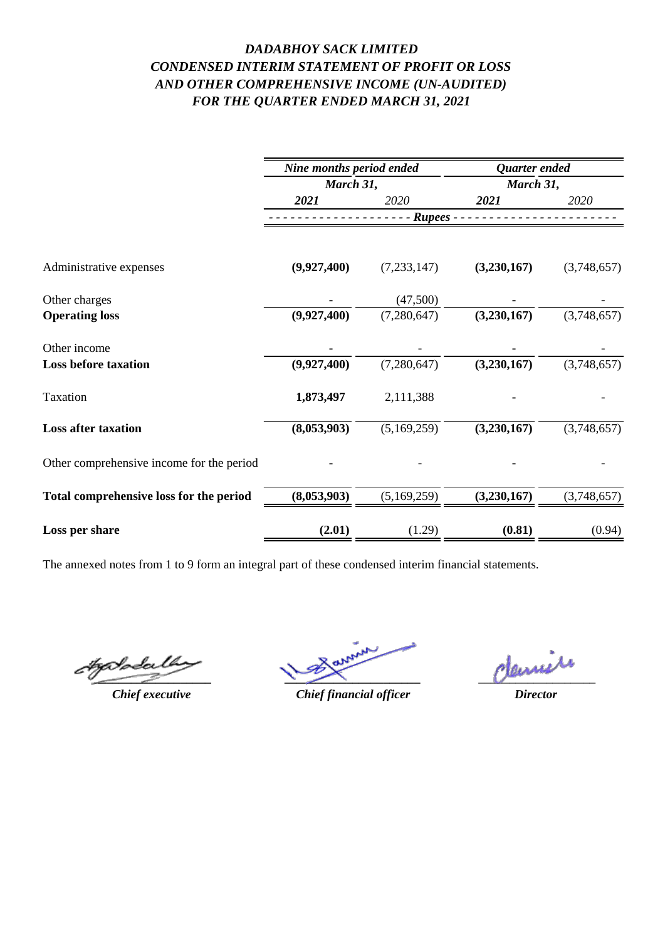## *DADABHOY SACK LIMITED FOR THE QUARTER ENDED MARCH 31, 2021 CONDENSED INTERIM STATEMENT OF PROFIT OR LOSS AND OTHER COMPREHENSIVE INCOME (UN-AUDITED)*

|                                           | Nine months period ended<br>March 31, |               | Quarter ended<br>March 31, |             |
|-------------------------------------------|---------------------------------------|---------------|----------------------------|-------------|
|                                           |                                       |               |                            |             |
|                                           | 2021                                  | 2020          | 2021                       | 2020        |
|                                           |                                       | - Rupees -    |                            |             |
| Administrative expenses                   | (9,927,400)                           | (7, 233, 147) | (3,230,167)                | (3,748,657) |
| Other charges                             |                                       | (47,500)      |                            |             |
| <b>Operating loss</b>                     | (9,927,400)                           | (7,280,647)   | (3,230,167)                | (3,748,657) |
| Other income                              |                                       |               |                            |             |
| <b>Loss before taxation</b>               | (9,927,400)                           | (7,280,647)   | (3,230,167)                | (3,748,657) |
| Taxation                                  | 1,873,497                             | 2,111,388     |                            |             |
| <b>Loss after taxation</b>                | (8,053,903)                           | (5,169,259)   | (3,230,167)                | (3,748,657) |
| Other comprehensive income for the period |                                       |               |                            |             |
| Total comprehensive loss for the period   | (8,053,903)                           | (5,169,259)   | (3,230,167)                | (3,748,657) |
| Loss per share                            | (2.01)                                | (1.29)        | (0.81)                     | (0.94)      |

The annexed notes from 1 to 9 form an integral part of these condensed interim financial statements.

**\_\_\_\_\_\_\_\_\_\_\_\_\_\_\_\_\_\_\_**

*Chief executive*

*\_\_\_\_\_\_\_\_\_\_\_\_\_\_\_\_\_\_\_\_\_\_*

deniere

*Chief financial officer*

*Director*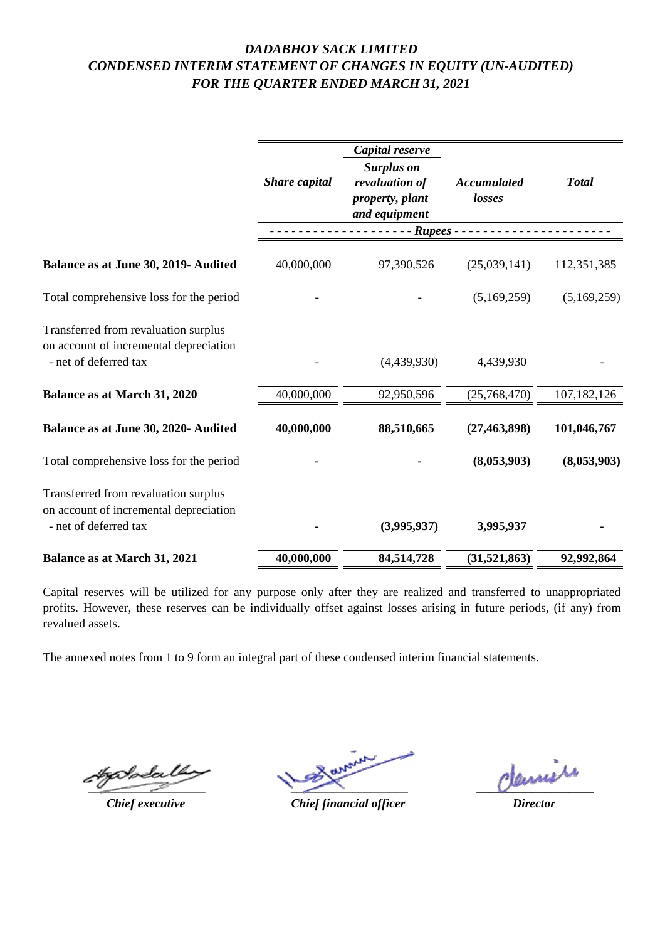## *DADABHOY SACK LIMITED CONDENSED INTERIM STATEMENT OF CHANGES IN EQUITY (UN-AUDITED) FOR THE QUARTER ENDED MARCH 31, 2021*

|                                                                                                         | Share capital | Capital reserve<br><b>Surplus on</b><br>revaluation of<br>property, plant | <b>Accumulated</b><br>losses | <b>Total</b>  |
|---------------------------------------------------------------------------------------------------------|---------------|---------------------------------------------------------------------------|------------------------------|---------------|
|                                                                                                         |               | and equipment                                                             |                              |               |
|                                                                                                         | Rupees -      |                                                                           |                              |               |
| Balance as at June 30, 2019- Audited                                                                    | 40,000,000    | 97,390,526                                                                | (25,039,141)                 | 112,351,385   |
| Total comprehensive loss for the period                                                                 |               |                                                                           | (5,169,259)                  | (5,169,259)   |
| Transferred from revaluation surplus<br>on account of incremental depreciation<br>- net of deferred tax |               | (4,439,930)                                                               | 4,439,930                    |               |
| <b>Balance as at March 31, 2020</b>                                                                     | 40,000,000    | 92,950,596                                                                | (25,768,470)                 | 107, 182, 126 |
| Balance as at June 30, 2020- Audited                                                                    | 40,000,000    | 88,510,665                                                                | (27, 463, 898)               | 101,046,767   |
| Total comprehensive loss for the period                                                                 |               |                                                                           | (8,053,903)                  | (8,053,903)   |
| Transferred from revaluation surplus<br>on account of incremental depreciation<br>- net of deferred tax |               | (3,995,937)                                                               | 3,995,937                    |               |
| <b>Balance as at March 31, 2021</b>                                                                     | 40,000,000    | 84,514,728                                                                | (31,521,863)                 | 92,992,864    |

Capital reserves will be utilized for any purpose only after they are realized and transferred to unappropriated profits. However, these reserves can be individually offset against losses arising in future periods, (if any) from revalued assets.

The annexed notes from 1 to 9 form an integral part of these condensed interim financial statements.

Harder Barnett Pleine Meine  $\overline{\phantom{a}}$ 

*Chief executive Director Chief financial officer*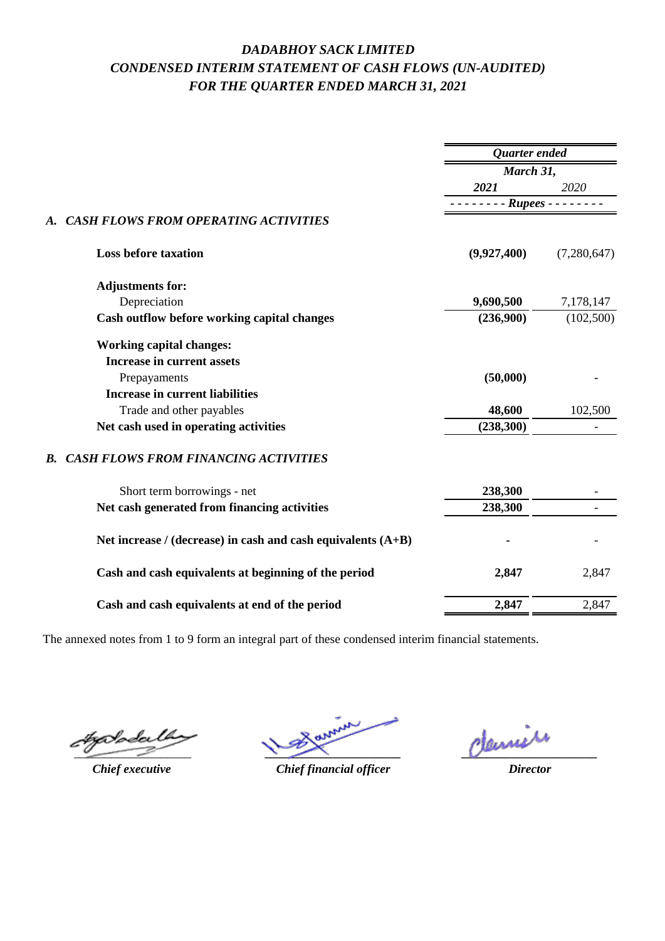# *DADABHOY SACK LIMITED CONDENSED INTERIM STATEMENT OF CASH FLOWS (UN-AUDITED) FOR THE QUARTER ENDED MARCH 31, 2021*

|                                                                |                            | <b>Ouarter</b> ended<br>March 31, |  |
|----------------------------------------------------------------|----------------------------|-----------------------------------|--|
|                                                                |                            |                                   |  |
|                                                                | 2021                       | 2020                              |  |
|                                                                | $- - - - - Rupees - - - -$ |                                   |  |
| <b>CASH FLOWS FROM OPERATING ACTIVITIES</b><br>A.              |                            |                                   |  |
| <b>Loss before taxation</b>                                    | (9,927,400)                | (7,280,647)                       |  |
| <b>Adjustments for:</b>                                        |                            |                                   |  |
| Depreciation                                                   | 9,690,500                  | 7,178,147                         |  |
| Cash outflow before working capital changes                    | (236,900)                  | (102,500)                         |  |
| <b>Working capital changes:</b>                                |                            |                                   |  |
| <b>Increase in current assets</b>                              |                            |                                   |  |
| Prepayaments                                                   | (50,000)                   |                                   |  |
| <b>Increase in current liabilities</b>                         |                            |                                   |  |
| Trade and other payables                                       | 48,600                     | 102,500                           |  |
| Net cash used in operating activities                          | (238, 300)                 |                                   |  |
| <b>CASH FLOWS FROM FINANCING ACTIVITIES</b><br>$\bm{R}$ .      |                            |                                   |  |
| Short term borrowings - net                                    | 238,300                    |                                   |  |
| Net cash generated from financing activities                   | 238,300                    |                                   |  |
| Net increase / (decrease) in cash and cash equivalents $(A+B)$ |                            |                                   |  |
| Cash and cash equivalents at beginning of the period           | 2,847                      | 2,847                             |  |
| Cash and cash equivalents at end of the period                 | 2,847                      | 2,847                             |  |
|                                                                |                            |                                   |  |

The annexed notes from 1 to 9 form an integral part of these condensed interim financial statements.

tzalodei  $\overline{\phantom{a}}$ 

*Chief executive*

*\_\_\_\_\_\_\_\_\_\_\_\_\_\_\_\_\_\_\_\_\_\_*

*\_\_\_\_\_\_\_\_\_\_\_\_\_\_\_\_\_\_\_\_\_\_*

*Chief financial officer*

*Director*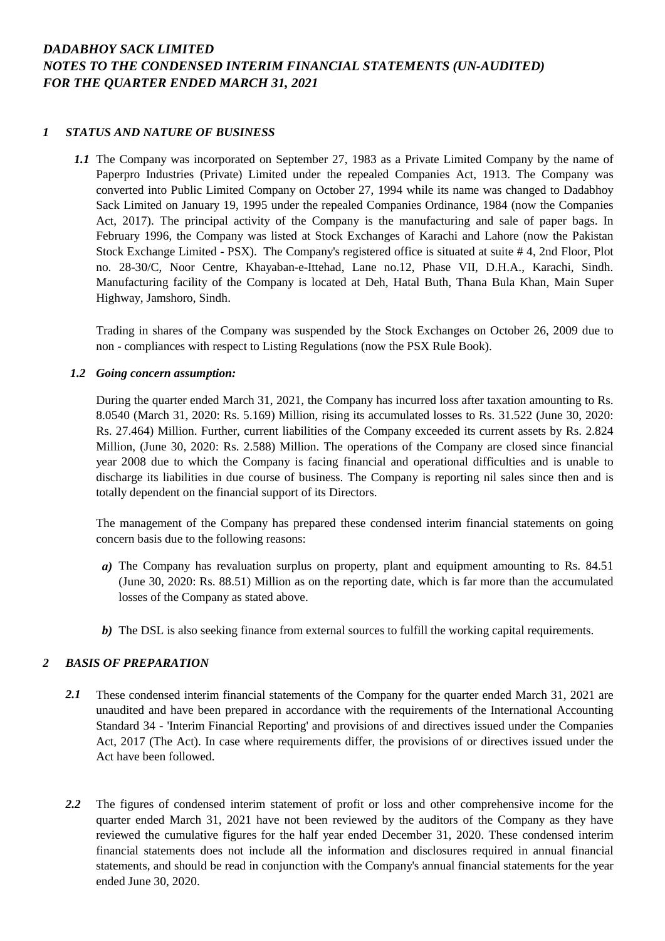### *DADABHOY SACK LIMITED NOTES TO THE CONDENSED INTERIM FINANCIAL STATEMENTS (UN-AUDITED) FOR THE QUARTER ENDED MARCH 31, 2021*

### *1 STATUS AND NATURE OF BUSINESS*

*1.1* The Company was incorporated on September 27, 1983 as a Private Limited Company by the name of Paperpro Industries (Private) Limited under the repealed Companies Act, 1913. The Company was converted into Public Limited Company on October 27, 1994 while its name was changed to Dadabhoy Sack Limited on January 19, 1995 under the repealed Companies Ordinance, 1984 (now the Companies Act, 2017). The principal activity of the Company is the manufacturing and sale of paper bags. In February 1996, the Company was listed at Stock Exchanges of Karachi and Lahore (now the Pakistan Stock Exchange Limited - PSX). The Company's registered office is situated at suite # 4, 2nd Floor, Plot no. 28-30/C, Noor Centre, Khayaban-e-Ittehad, Lane no.12, Phase VII, D.H.A., Karachi, Sindh. Manufacturing facility of the Company is located at Deh, Hatal Buth, Thana Bula Khan, Main Super Highway, Jamshoro, Sindh.

Trading in shares of the Company was suspended by the Stock Exchanges on October 26, 2009 due to non - compliances with respect to Listing Regulations (now the PSX Rule Book).

#### *1.2 Going concern assumption:*

During the quarter ended March 31, 2021, the Company has incurred loss after taxation amounting to Rs. 8.0540 (March 31, 2020: Rs. 5.169) Million, rising its accumulated losses to Rs. 31.522 (June 30, 2020: Rs. 27.464) Million. Further, current liabilities of the Company exceeded its current assets by Rs. 2.824 Million, (June 30, 2020: Rs. 2.588) Million. The operations of the Company are closed since financial year 2008 due to which the Company is facing financial and operational difficulties and is unable to discharge its liabilities in due course of business. The Company is reporting nil sales since then and is totally dependent on the financial support of its Directors.

The management of the Company has prepared these condensed interim financial statements on going concern basis due to the following reasons:

- *a)* The Company has revaluation surplus on property, plant and equipment amounting to Rs. 84.51 (June 30, 2020: Rs. 88.51) Million as on the reporting date, which is far more than the accumulated losses of the Company as stated above.
- *b)* The DSL is also seeking finance from external sources to fulfill the working capital requirements.

### *2 BASIS OF PREPARATION*

- *2.1* These condensed interim financial statements of the Company for the quarter ended March 31, 2021 are unaudited and have been prepared in accordance with the requirements of the International Accounting Standard 34 - 'Interim Financial Reporting' and provisions of and directives issued under the Companies Act, 2017 (The Act). In case where requirements differ, the provisions of or directives issued under the Act have been followed.
- *2.2* The figures of condensed interim statement of profit or loss and other comprehensive income for the quarter ended March 31, 2021 have not been reviewed by the auditors of the Company as they have reviewed the cumulative figures for the half year ended December 31, 2020. These condensed interim financial statements does not include all the information and disclosures required in annual financial statements, and should be read in conjunction with the Company's annual financial statements for the year ended June 30, 2020.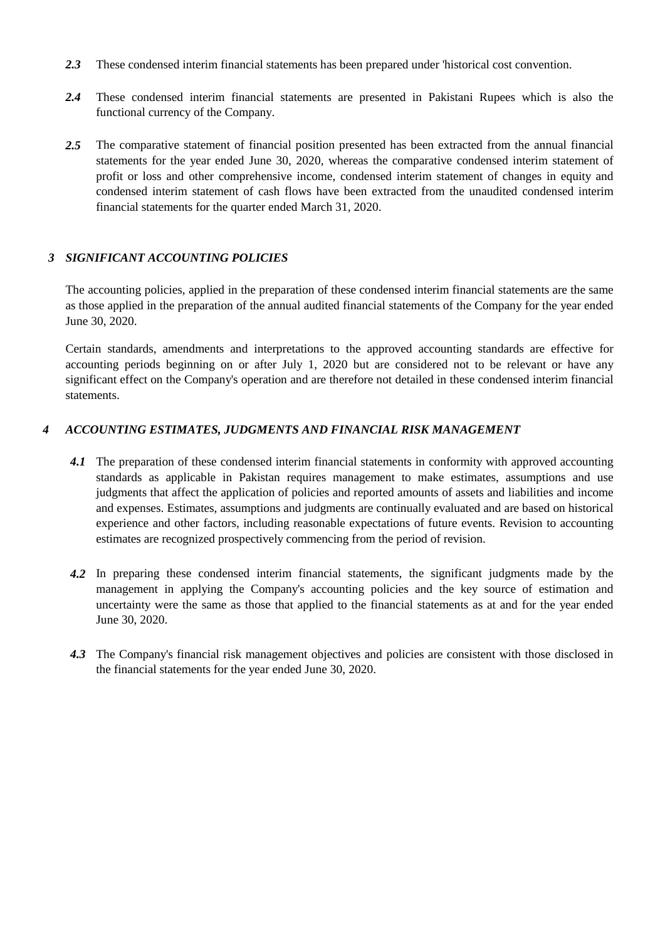- *2.3* These condensed interim financial statements has been prepared under 'historical cost convention.
- *2.4* These condensed interim financial statements are presented in Pakistani Rupees which is also the functional currency of the Company.
- *2.5* The comparative statement of financial position presented has been extracted from the annual financial statements for the year ended June 30, 2020, whereas the comparative condensed interim statement of profit or loss and other comprehensive income, condensed interim statement of changes in equity and condensed interim statement of cash flows have been extracted from the unaudited condensed interim financial statements for the quarter ended March 31, 2020.

### *3 SIGNIFICANT ACCOUNTING POLICIES*

The accounting policies, applied in the preparation of these condensed interim financial statements are the same as those applied in the preparation of the annual audited financial statements of the Company for the year ended June 30, 2020.

Certain standards, amendments and interpretations to the approved accounting standards are effective for accounting periods beginning on or after July 1, 2020 but are considered not to be relevant or have any significant effect on the Company's operation and are therefore not detailed in these condensed interim financial statements.

### *4 ACCOUNTING ESTIMATES, JUDGMENTS AND FINANCIAL RISK MANAGEMENT*

- 4.1 The preparation of these condensed interim financial statements in conformity with approved accounting standards as applicable in Pakistan requires management to make estimates, assumptions and use judgments that affect the application of policies and reported amounts of assets and liabilities and income and expenses. Estimates, assumptions and judgments are continually evaluated and are based on historical experience and other factors, including reasonable expectations of future events. Revision to accounting estimates are recognized prospectively commencing from the period of revision.
- *4.2* In preparing these condensed interim financial statements, the significant judgments made by the management in applying the Company's accounting policies and the key source of estimation and uncertainty were the same as those that applied to the financial statements as at and for the year ended June 30, 2020.
- *4.3* The Company's financial risk management objectives and policies are consistent with those disclosed in the financial statements for the year ended June 30, 2020.